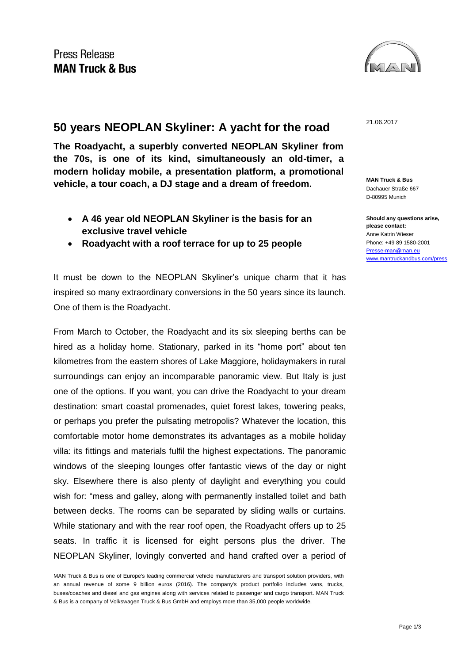

## 21.06.2017 **50 years NEOPLAN Skyliner: A yacht for the road**

**The Roadyacht, a superbly converted NEOPLAN Skyliner from the 70s, is one of its kind, simultaneously an old-timer, a modern holiday mobile, a presentation platform, a promotional vehicle, a tour coach, a DJ stage and a dream of freedom.** 

- **A 46 year old NEOPLAN Skyliner is the basis for an exclusive travel vehicle**
- **Roadyacht with a roof terrace for up to 25 people**

It must be down to the NEOPLAN Skyliner's unique charm that it has inspired so many extraordinary conversions in the 50 years since its launch. One of them is the Roadyacht.

From March to October, the Roadyacht and its six sleeping berths can be hired as a holiday home. Stationary, parked in its "home port" about ten kilometres from the eastern shores of Lake Maggiore, holidaymakers in rural surroundings can enjoy an incomparable panoramic view. But Italy is just one of the options. If you want, you can drive the Roadyacht to your dream destination: smart coastal promenades, quiet forest lakes, towering peaks, or perhaps you prefer the pulsating metropolis? Whatever the location, this comfortable motor home demonstrates its advantages as a mobile holiday villa: its fittings and materials fulfil the highest expectations. The panoramic windows of the sleeping lounges offer fantastic views of the day or night sky. Elsewhere there is also plenty of daylight and everything you could wish for: "mess and galley, along with permanently installed toilet and bath between decks. The rooms can be separated by sliding walls or curtains. While stationary and with the rear roof open, the Roadyacht offers up to 25 seats. In traffic it is licensed for eight persons plus the driver. The NEOPLAN Skyliner, lovingly converted and hand crafted over a period of

**MAN Truck & Bus** Dachauer Straße 667 D-80995 Munich

**Should any questions arise, please contact:** Anne Katrin Wieser Phone: +49 89 1580-2001 [Presse-man@man.eu](mailto:Presse-man@man.eu) [www.mantruckandbus.com/press](http://www.mantruckandbus.com/press)

MAN Truck & Bus is one of Europe's leading commercial vehicle manufacturers and transport solution providers, with an annual revenue of some 9 billion euros (2016). The company's product portfolio includes vans, trucks, buses/coaches and diesel and gas engines along with services related to passenger and cargo transport. MAN Truck & Bus is a company of Volkswagen Truck & Bus GmbH and employs more than 35,000 people worldwide.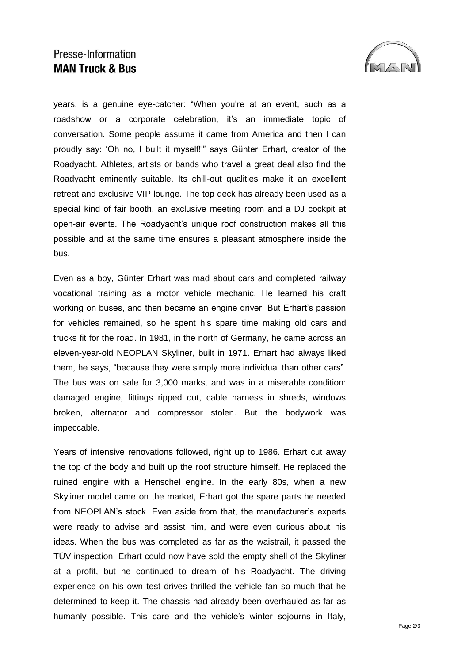## Presse-Information **MAN Truck & Bus**



years, is a genuine eye-catcher: "When you're at an event, such as a roadshow or a corporate celebration, it's an immediate topic of conversation. Some people assume it came from America and then I can proudly say: 'Oh no, I built it myself!'" says Günter Erhart, creator of the Roadyacht. Athletes, artists or bands who travel a great deal also find the Roadyacht eminently suitable. Its chill-out qualities make it an excellent retreat and exclusive VIP lounge. The top deck has already been used as a special kind of fair booth, an exclusive meeting room and a DJ cockpit at open-air events. The Roadyacht's unique roof construction makes all this possible and at the same time ensures a pleasant atmosphere inside the bus.

Even as a boy, Günter Erhart was mad about cars and completed railway vocational training as a motor vehicle mechanic. He learned his craft working on buses, and then became an engine driver. But Erhart's passion for vehicles remained, so he spent his spare time making old cars and trucks fit for the road. In 1981, in the north of Germany, he came across an eleven-year-old NEOPLAN Skyliner, built in 1971. Erhart had always liked them, he says, "because they were simply more individual than other cars". The bus was on sale for 3,000 marks, and was in a miserable condition: damaged engine, fittings ripped out, cable harness in shreds, windows broken, alternator and compressor stolen. But the bodywork was impeccable.

Years of intensive renovations followed, right up to 1986. Erhart cut away the top of the body and built up the roof structure himself. He replaced the ruined engine with a Henschel engine. In the early 80s, when a new Skyliner model came on the market, Erhart got the spare parts he needed from NEOPLAN's stock. Even aside from that, the manufacturer's experts were ready to advise and assist him, and were even curious about his ideas. When the bus was completed as far as the waistrail, it passed the TÜV inspection. Erhart could now have sold the empty shell of the Skyliner at a profit, but he continued to dream of his Roadyacht. The driving experience on his own test drives thrilled the vehicle fan so much that he determined to keep it. The chassis had already been overhauled as far as humanly possible. This care and the vehicle's winter sojourns in Italy,